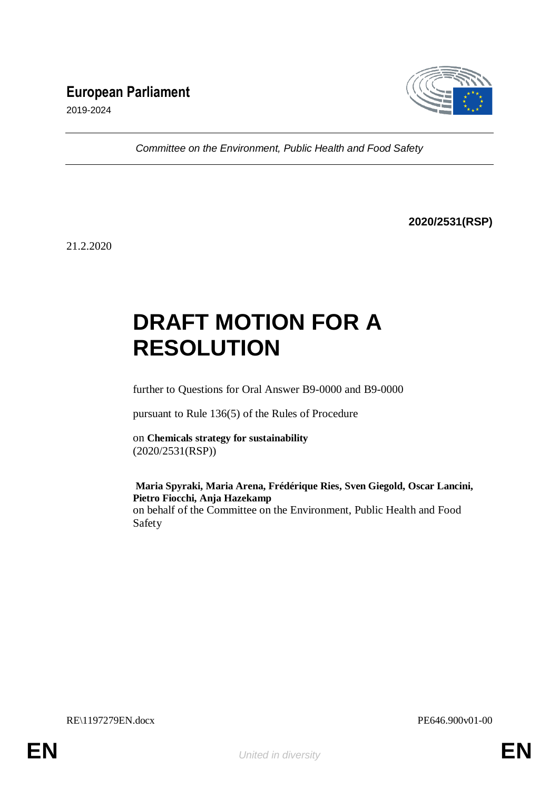## **European Parliament**



2019-2024

*Committee on the Environment, Public Health and Food Safety*

**2020/2531(RSP)**

21.2.2020

# **DRAFT MOTION FOR A RESOLUTION**

further to Questions for Oral Answer B9-0000 and B9-0000

pursuant to Rule 136(5) of the Rules of Procedure

on **Chemicals strategy for sustainability** (2020/2531(RSP))

#### **Maria Spyraki, Maria Arena, Frédérique Ries, Sven Giegold, Oscar Lancini, Pietro Fiocchi, Anja Hazekamp**

on behalf of the Committee on the Environment, Public Health and Food Safety

RE\1197279EN.docx PE646.900v01-00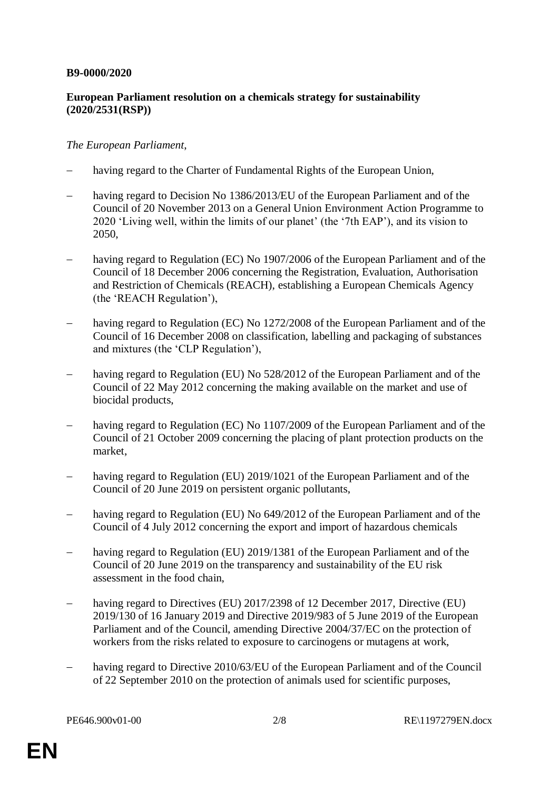#### **B9-0000/2020**

### **European Parliament resolution on a chemicals strategy for sustainability (2020/2531(RSP))**

#### *The European Parliament*,

- having regard to the Charter of Fundamental Rights of the European Union,
- having regard to Decision No 1386/2013/EU of the European Parliament and of the Council of 20 November 2013 on a General Union Environment Action Programme to 2020 'Living well, within the limits of our planet' (the '7th EAP'), and its vision to 2050,
- having regard to Regulation (EC) No 1907/2006 of the European Parliament and of the Council of 18 December 2006 concerning the Registration, Evaluation, Authorisation and Restriction of Chemicals (REACH), establishing a European Chemicals Agency (the 'REACH Regulation'),
- having regard to Regulation (EC) No 1272/2008 of the European Parliament and of the Council of 16 December 2008 on classification, labelling and packaging of substances and mixtures (the 'CLP Regulation'),
- having regard to Regulation (EU) No 528/2012 of the European Parliament and of the Council of 22 May 2012 concerning the making available on the market and use of biocidal products,
- having regard to Regulation (EC) No 1107/2009 of the European Parliament and of the Council of 21 October 2009 concerning the placing of plant protection products on the market,
- having regard to Regulation (EU) 2019/1021 of the European Parliament and of the Council of 20 June 2019 on persistent organic pollutants,
- having regard to Regulation (EU) No 649/2012 of the European Parliament and of the Council of 4 July 2012 concerning the export and import of hazardous chemicals
- having regard to Regulation (EU) 2019/1381 of the European Parliament and of the Council of 20 June 2019 on the transparency and sustainability of the EU risk assessment in the food chain,
- having regard to Directives (EU) 2017/2398 of 12 December 2017, Directive (EU) 2019/130 of 16 January 2019 and Directive 2019/983 of 5 June 2019 of the European Parliament and of the Council, amending Directive 2004/37/EC on the protection of workers from the risks related to exposure to carcinogens or mutagens at work,
- having regard to Directive 2010/63/EU of the European Parliament and of the Council of 22 September 2010 on the protection of animals used for scientific purposes,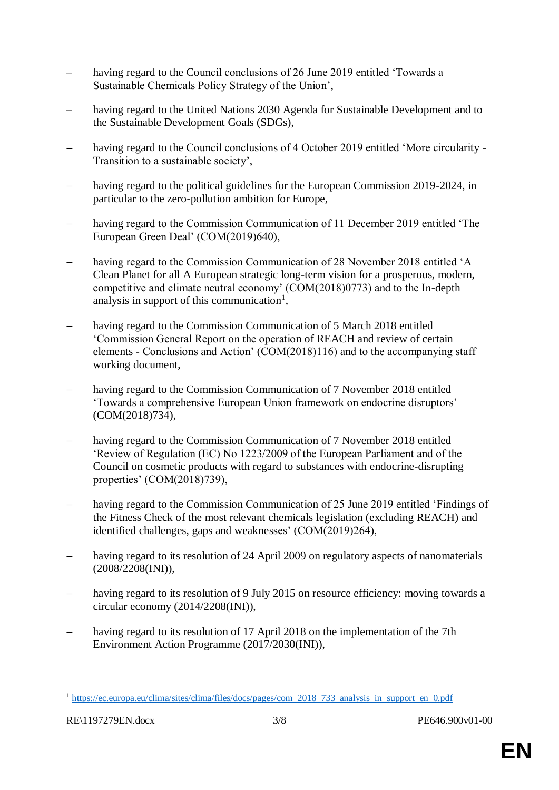- having regard to the Council conclusions of 26 June 2019 entitled 'Towards a Sustainable Chemicals Policy Strategy of the Union',
- having regard to the United Nations 2030 Agenda for Sustainable Development and to the Sustainable Development Goals (SDGs),
- having regard to the Council conclusions of 4 October 2019 entitled 'More circularity Transition to a sustainable society',
- having regard to the political guidelines for the European Commission 2019-2024, in particular to the zero-pollution ambition for Europe,
- having regard to the Commission Communication of 11 December 2019 entitled 'The European Green Deal' (COM(2019)640),
- having regard to the Commission Communication of 28 November 2018 entitled 'A Clean Planet for all A European strategic long-term vision for a prosperous, modern, competitive and climate neutral economy' (COM(2018)0773) and to the In-depth analysis in support of this communication<sup>1</sup>,
- having regard to the Commission Communication of 5 March 2018 entitled 'Commission General Report on the operation of REACH and review of certain elements - Conclusions and Action' (COM(2018)116) and to the accompanying staff working document,
- having regard to the Commission Communication of 7 November 2018 entitled 'Towards a comprehensive European Union framework on endocrine disruptors' (COM(2018)734),
- having regard to the Commission Communication of 7 November 2018 entitled 'Review of Regulation (EC) No 1223/2009 of the European Parliament and of the Council on cosmetic products with regard to substances with endocrine-disrupting properties' (COM(2018)739),
- having regard to the Commission Communication of 25 June 2019 entitled 'Findings of the Fitness Check of the most relevant chemicals legislation (excluding REACH) and identified challenges, gaps and weaknesses' (COM(2019)264),
- having regard to its resolution of 24 April 2009 on regulatory aspects of nanomaterials (2008/2208(INI)),
- having regard to its resolution of 9 July 2015 on resource efficiency: moving towards a circular economy (2014/2208(INI)),
- having regard to its resolution of 17 April 2018 on the implementation of the 7th Environment Action Programme (2017/2030(INI)),

<u>.</u>

<sup>&</sup>lt;sup>1</sup> [https://ec.europa.eu/clima/sites/clima/files/docs/pages/com\\_2018\\_733\\_analysis\\_in\\_support\\_en\\_0.pdf](https://ec.europa.eu/clima/sites/clima/files/docs/pages/com_2018_733_analysis_in_support_en_0.pdf)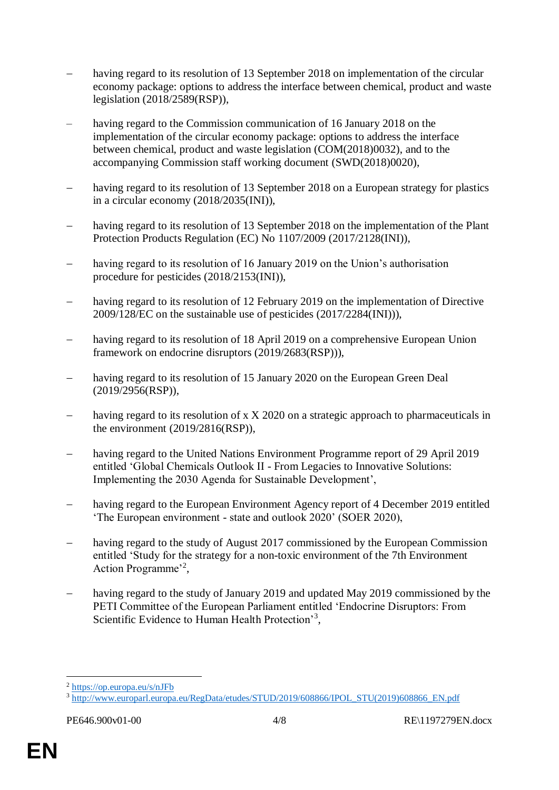- having regard to its resolution of 13 September 2018 on implementation of the circular economy package: options to address the interface between chemical, product and waste legislation (2018/2589(RSP)),
- having regard to the Commission communication of 16 January 2018 on the implementation of the circular economy package: options to address the interface between chemical, product and waste legislation (COM(2018)0032), and to the accompanying Commission staff working document (SWD(2018)0020),
- having regard to its resolution of 13 September 2018 on a European strategy for plastics in a circular economy (2018/2035(INI)),
- having regard to its resolution of 13 September 2018 on the implementation of the Plant Protection Products Regulation (EC) No 1107/2009 (2017/2128(INI)),
- having regard to its resolution of 16 January 2019 on the Union's authorisation procedure for pesticides (2018/2153(INI)),
- having regard to its resolution of 12 February 2019 on the implementation of Directive 2009/128/EC on the sustainable use of pesticides (2017/2284(INI))),
- having regard to its resolution of 18 April 2019 on a comprehensive European Union framework on endocrine disruptors (2019/2683(RSP))),
- having regard to its resolution of 15 January 2020 on the European Green Deal (2019/2956(RSP)),
- having regard to its resolution of x X 2020 on a strategic approach to pharmaceuticals in the environment (2019/2816(RSP)),
- having regard to the United Nations Environment Programme report of 29 April 2019 entitled 'Global Chemicals Outlook II - From Legacies to Innovative Solutions: Implementing the 2030 Agenda for Sustainable Development',
- having regard to the European Environment Agency report of 4 December 2019 entitled 'The European environment - state and outlook 2020' (SOER 2020),
- having regard to the study of August 2017 commissioned by the European Commission entitled 'Study for the strategy for a non-toxic environment of the 7th Environment Action Programme'<sup>2</sup>,
- having regard to the study of January 2019 and updated May 2019 commissioned by the PETI Committee of the European Parliament entitled 'Endocrine Disruptors: From Scientific Evidence to Human Health Protection'<sup>3</sup>,

1

<sup>2</sup> <https://op.europa.eu/s/nJFb>

<sup>3</sup> [http://www.europarl.europa.eu/RegData/etudes/STUD/2019/608866/IPOL\\_STU\(2019\)608866\\_EN.pdf](http://www.europarl.europa.eu/RegData/etudes/STUD/2019/608866/IPOL_STU(2019)608866_EN.pdf)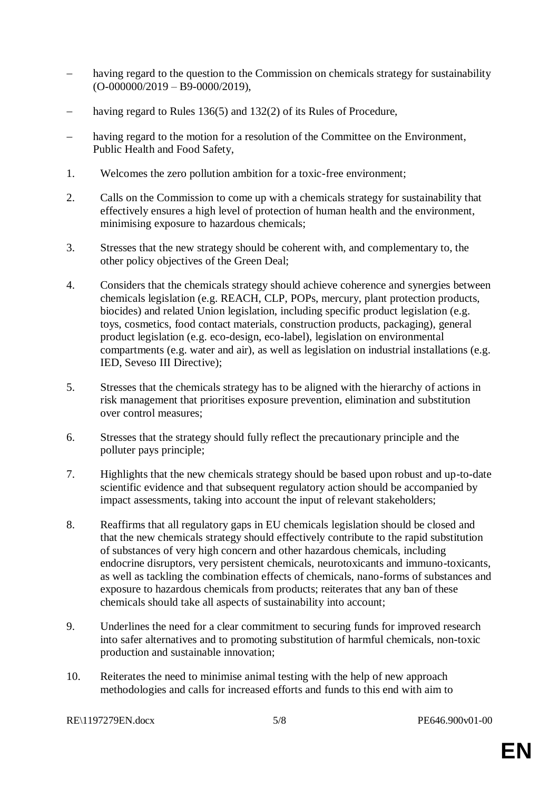- having regard to the question to the Commission on chemicals strategy for sustainability  $(O-000000/2019 - B9-0000/2019),$
- having regard to Rules 136(5) and 132(2) of its Rules of Procedure,
- having regard to the motion for a resolution of the Committee on the Environment, Public Health and Food Safety,
- 1. Welcomes the zero pollution ambition for a toxic-free environment;
- 2. Calls on the Commission to come up with a chemicals strategy for sustainability that effectively ensures a high level of protection of human health and the environment, minimising exposure to hazardous chemicals;
- 3. Stresses that the new strategy should be coherent with, and complementary to, the other policy objectives of the Green Deal;
- 4. Considers that the chemicals strategy should achieve coherence and synergies between chemicals legislation (e.g. REACH, CLP, POPs, mercury, plant protection products, biocides) and related Union legislation, including specific product legislation (e.g. toys, cosmetics, food contact materials, construction products, packaging), general product legislation (e.g. eco-design, eco-label), legislation on environmental compartments (e.g. water and air), as well as legislation on industrial installations (e.g. IED, Seveso III Directive);
- 5. Stresses that the chemicals strategy has to be aligned with the hierarchy of actions in risk management that prioritises exposure prevention, elimination and substitution over control measures;
- 6. Stresses that the strategy should fully reflect the precautionary principle and the polluter pays principle;
- 7. Highlights that the new chemicals strategy should be based upon robust and up-to-date scientific evidence and that subsequent regulatory action should be accompanied by impact assessments, taking into account the input of relevant stakeholders;
- 8. Reaffirms that all regulatory gaps in EU chemicals legislation should be closed and that the new chemicals strategy should effectively contribute to the rapid substitution of substances of very high concern and other hazardous chemicals, including endocrine disruptors, very persistent chemicals, neurotoxicants and immuno-toxicants, as well as tackling the combination effects of chemicals, nano-forms of substances and exposure to hazardous chemicals from products; reiterates that any ban of these chemicals should take all aspects of sustainability into account;
- 9. Underlines the need for a clear commitment to securing funds for improved research into safer alternatives and to promoting substitution of harmful chemicals, non-toxic production and sustainable innovation;
- 10. Reiterates the need to minimise animal testing with the help of new approach methodologies and calls for increased efforts and funds to this end with aim to

```
RE\1197279EN.docx 5/8 PE646.900v01-00
```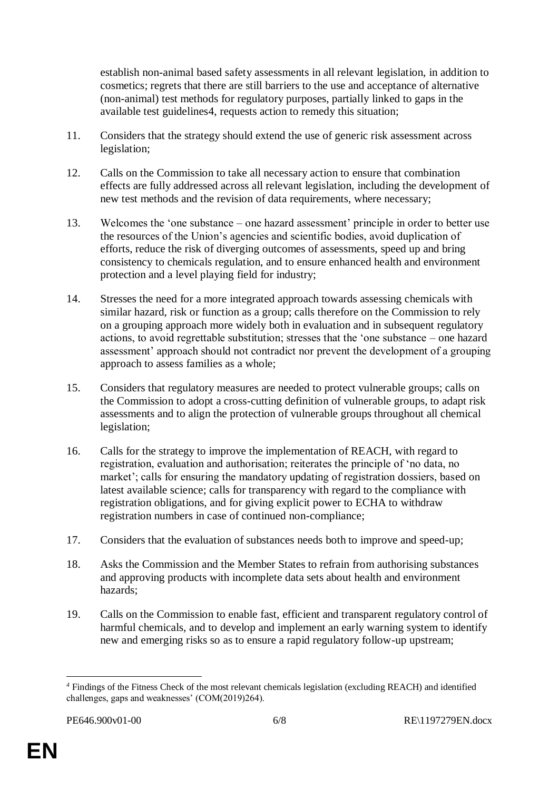establish non-animal based safety assessments in all relevant legislation, in addition to cosmetics; regrets that there are still barriers to the use and acceptance of alternative (non-animal) test methods for regulatory purposes, partially linked to gaps in the available test guidelines4, requests action to remedy this situation;

- 11. Considers that the strategy should extend the use of generic risk assessment across legislation;
- 12. Calls on the Commission to take all necessary action to ensure that combination effects are fully addressed across all relevant legislation, including the development of new test methods and the revision of data requirements, where necessary;
- 13. Welcomes the 'one substance one hazard assessment' principle in order to better use the resources of the Union's agencies and scientific bodies, avoid duplication of efforts, reduce the risk of diverging outcomes of assessments, speed up and bring consistency to chemicals regulation, and to ensure enhanced health and environment protection and a level playing field for industry;
- 14. Stresses the need for a more integrated approach towards assessing chemicals with similar hazard, risk or function as a group; calls therefore on the Commission to rely on a grouping approach more widely both in evaluation and in subsequent regulatory actions, to avoid regrettable substitution; stresses that the 'one substance – one hazard assessment' approach should not contradict nor prevent the development of a grouping approach to assess families as a whole;
- 15. Considers that regulatory measures are needed to protect vulnerable groups; calls on the Commission to adopt a cross-cutting definition of vulnerable groups, to adapt risk assessments and to align the protection of vulnerable groups throughout all chemical legislation;
- 16. Calls for the strategy to improve the implementation of REACH, with regard to registration, evaluation and authorisation; reiterates the principle of 'no data, no market'; calls for ensuring the mandatory updating of registration dossiers, based on latest available science; calls for transparency with regard to the compliance with registration obligations, and for giving explicit power to ECHA to withdraw registration numbers in case of continued non-compliance;
- 17. Considers that the evaluation of substances needs both to improve and speed-up;
- 18. Asks the Commission and the Member States to refrain from authorising substances and approving products with incomplete data sets about health and environment hazards;
- 19. Calls on the Commission to enable fast, efficient and transparent regulatory control of harmful chemicals, and to develop and implement an early warning system to identify new and emerging risks so as to ensure a rapid regulatory follow-up upstream;

<sup>1</sup> *<sup>4</sup>* Findings of the Fitness Check of the most relevant chemicals legislation (excluding REACH) and identified challenges, gaps and weaknesses' (COM(2019)264).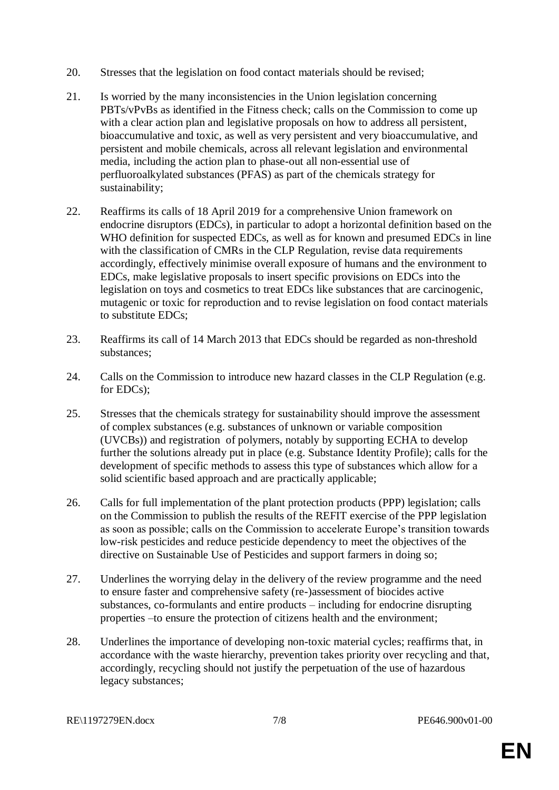- 20. Stresses that the legislation on food contact materials should be revised;
- 21. Is worried by the many inconsistencies in the Union legislation concerning PBTs/vPvBs as identified in the Fitness check; calls on the Commission to come up with a clear action plan and legislative proposals on how to address all persistent, bioaccumulative and toxic, as well as very persistent and very bioaccumulative, and persistent and mobile chemicals, across all relevant legislation and environmental media, including the action plan to phase-out all non-essential use of perfluoroalkylated substances (PFAS) as part of the chemicals strategy for sustainability;
- 22. Reaffirms its calls of 18 April 2019 for a comprehensive Union framework on endocrine disruptors (EDCs), in particular to adopt a horizontal definition based on the WHO definition for suspected EDCs, as well as for known and presumed EDCs in line with the classification of CMRs in the CLP Regulation, revise data requirements accordingly, effectively minimise overall exposure of humans and the environment to EDCs, make legislative proposals to insert specific provisions on EDCs into the legislation on toys and cosmetics to treat EDCs like substances that are carcinogenic, mutagenic or toxic for reproduction and to revise legislation on food contact materials to substitute EDCs;
- 23. Reaffirms its call of 14 March 2013 that EDCs should be regarded as non-threshold substances;
- 24. Calls on the Commission to introduce new hazard classes in the CLP Regulation (e.g. for EDCs);
- 25. Stresses that the chemicals strategy for sustainability should improve the assessment of complex substances (e.g. substances of unknown or variable composition (UVCBs)) and registration of polymers, notably by supporting ECHA to develop further the solutions already put in place (e.g. Substance Identity Profile); calls for the development of specific methods to assess this type of substances which allow for a solid scientific based approach and are practically applicable;
- 26. Calls for full implementation of the plant protection products (PPP) legislation; calls on the Commission to publish the results of the REFIT exercise of the PPP legislation as soon as possible; calls on the Commission to accelerate Europe's transition towards low-risk pesticides and reduce pesticide dependency to meet the objectives of the directive on Sustainable Use of Pesticides and support farmers in doing so;
- 27. Underlines the worrying delay in the delivery of the review programme and the need to ensure faster and comprehensive safety (re-)assessment of biocides active substances, co-formulants and entire products – including for endocrine disrupting properties –to ensure the protection of citizens health and the environment;
- 28. Underlines the importance of developing non-toxic material cycles; reaffirms that, in accordance with the waste hierarchy, prevention takes priority over recycling and that, accordingly, recycling should not justify the perpetuation of the use of hazardous legacy substances;